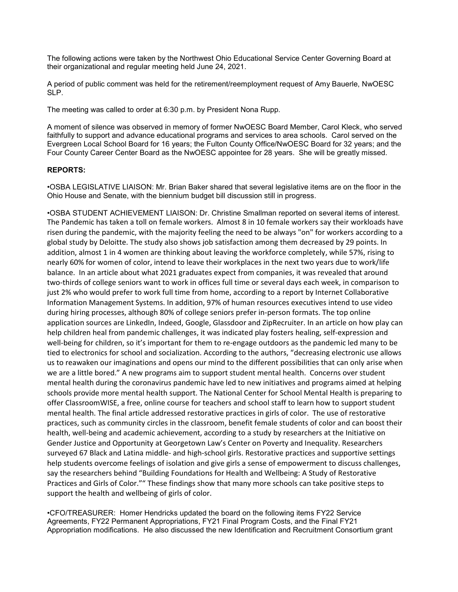The following actions were taken by the Northwest Ohio Educational Service Center Governing Board at their organizational and regular meeting held June 24, 2021.

A period of public comment was held for the retirement/reemployment request of Amy Bauerle, NwOESC SLP.

The meeting was called to order at 6:30 p.m. by President Nona Rupp.

A moment of silence was observed in memory of former NwOESC Board Member, Carol Kleck, who served faithfully to support and advance educational programs and services to area schools. Carol served on the Evergreen Local School Board for 16 years; the Fulton County Office/NwOESC Board for 32 years; and the Four County Career Center Board as the NwOESC appointee for 28 years. She will be greatly missed.

## REPORTS:

•OSBA LEGISLATIVE LIAISON: Mr. Brian Baker shared that several legislative items are on the floor in the Ohio House and Senate, with the biennium budget bill discussion still in progress.

•OSBA STUDENT ACHIEVEMENT LIAISON: Dr. Christine Smallman reported on several items of interest. The Pandemic has taken a toll on female workers. Almost 8 in 10 female workers say their workloads have risen during the pandemic, with the majority feeling the need to be always "on" for workers according to a global study by Deloitte. The study also shows job satisfaction among them decreased by 29 points. In addition, almost 1 in 4 women are thinking about leaving the workforce completely, while 57%, rising to nearly 60% for women of color, intend to leave their workplaces in the next two years due to work/life balance. In an article about what 2021 graduates expect from companies, it was revealed that around two-thirds of college seniors want to work in offices full time or several days each week, in comparison to just 2% who would prefer to work full time from home, according to a report by Internet Collaborative Information Management Systems. In addition, 97% of human resources executives intend to use video during hiring processes, although 80% of college seniors prefer in-person formats. The top online application sources are LinkedIn, Indeed, Google, Glassdoor and ZipRecruiter. In an article on how play can help children heal from pandemic challenges, it was indicated play fosters healing, self-expression and well-being for children, so it's important for them to re-engage outdoors as the pandemic led many to be tied to electronics for school and socialization. According to the authors, "decreasing electronic use allows us to reawaken our imaginations and opens our mind to the different possibilities that can only arise when we are a little bored." A new programs aim to support student mental health. Concerns over student mental health during the coronavirus pandemic have led to new initiatives and programs aimed at helping schools provide more mental health support. The National Center for School Mental Health is preparing to offer ClassroomWISE, a free, online course for teachers and school staff to learn how to support student mental health. The final article addressed restorative practices in girls of color. The use of restorative practices, such as community circles in the classroom, benefit female students of color and can boost their health, well-being and academic achievement, according to a study by researchers at the Initiative on Gender Justice and Opportunity at Georgetown Law's Center on Poverty and Inequality. Researchers surveyed 67 Black and Latina middle- and high-school girls. Restorative practices and supportive settings help students overcome feelings of isolation and give girls a sense of empowerment to discuss challenges, say the researchers behind "Building Foundations for Health and Wellbeing: A Study of Restorative Practices and Girls of Color."" These findings show that many more schools can take positive steps to support the health and wellbeing of girls of color.

•CFO/TREASURER: Homer Hendricks updated the board on the following items FY22 Service Agreements, FY22 Permanent Appropriations, FY21 Final Program Costs, and the Final FY21 Appropriation modifications. He also discussed the new Identification and Recruitment Consortium grant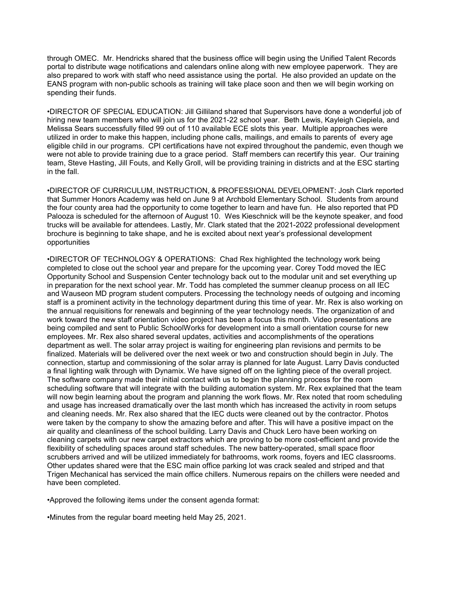through OMEC. Mr. Hendricks shared that the business office will begin using the Unified Talent Records portal to distribute wage notifications and calendars online along with new employee paperwork. They are also prepared to work with staff who need assistance using the portal. He also provided an update on the EANS program with non-public schools as training will take place soon and then we will begin working on spending their funds.

•DIRECTOR OF SPECIAL EDUCATION: Jill Gilliland shared that Supervisors have done a wonderful job of hiring new team members who will join us for the 2021-22 school year. Beth Lewis, Kayleigh Ciepiela, and Melissa Sears successfully filled 99 out of 110 available ECE slots this year. Multiple approaches were utilized in order to make this happen, including phone calls, mailings, and emails to parents of every age eligible child in our programs. CPI certifications have not expired throughout the pandemic, even though we were not able to provide training due to a grace period. Staff members can recertify this year. Our training team, Steve Hasting, Jill Fouts, and Kelly Groll, will be providing training in districts and at the ESC starting in the fall.

•DIRECTOR OF CURRICULUM, INSTRUCTION, & PROFESSIONAL DEVELOPMENT: Josh Clark reported that Summer Honors Academy was held on June 9 at Archbold Elementary School. Students from around the four county area had the opportunity to come together to learn and have fun. He also reported that PD Palooza is scheduled for the afternoon of August 10. Wes Kieschnick will be the keynote speaker, and food trucks will be available for attendees. Lastly, Mr. Clark stated that the 2021-2022 professional development brochure is beginning to take shape, and he is excited about next year's professional development opportunities

•DIRECTOR OF TECHNOLOGY & OPERATIONS: Chad Rex highlighted the technology work being completed to close out the school year and prepare for the upcoming year. Corey Todd moved the IEC Opportunity School and Suspension Center technology back out to the modular unit and set everything up in preparation for the next school year. Mr. Todd has completed the summer cleanup process on all IEC and Wauseon MD program student computers. Processing the technology needs of outgoing and incoming staff is a prominent activity in the technology department during this time of year. Mr. Rex is also working on the annual requisitions for renewals and beginning of the year technology needs. The organization of and work toward the new staff orientation video project has been a focus this month. Video presentations are being compiled and sent to Public SchoolWorks for development into a small orientation course for new employees. Mr. Rex also shared several updates, activities and accomplishments of the operations department as well. The solar array project is waiting for engineering plan revisions and permits to be finalized. Materials will be delivered over the next week or two and construction should begin in July. The connection, startup and commissioning of the solar array is planned for late August. Larry Davis conducted a final lighting walk through with Dynamix. We have signed off on the lighting piece of the overall project. The software company made their initial contact with us to begin the planning process for the room scheduling software that will integrate with the building automation system. Mr. Rex explained that the team will now begin learning about the program and planning the work flows. Mr. Rex noted that room scheduling and usage has increased dramatically over the last month which has increased the activity in room setups and cleaning needs. Mr. Rex also shared that the IEC ducts were cleaned out by the contractor. Photos were taken by the company to show the amazing before and after. This will have a positive impact on the air quality and cleanliness of the school building. Larry Davis and Chuck Lero have been working on cleaning carpets with our new carpet extractors which are proving to be more cost-efficient and provide the flexibility of scheduling spaces around staff schedules. The new battery-operated, small space floor scrubbers arrived and will be utilized immediately for bathrooms, work rooms, foyers and IEC classrooms. Other updates shared were that the ESC main office parking lot was crack sealed and striped and that Trigen Mechanical has serviced the main office chillers. Numerous repairs on the chillers were needed and have been completed.

•Approved the following items under the consent agenda format:

•Minutes from the regular board meeting held May 25, 2021.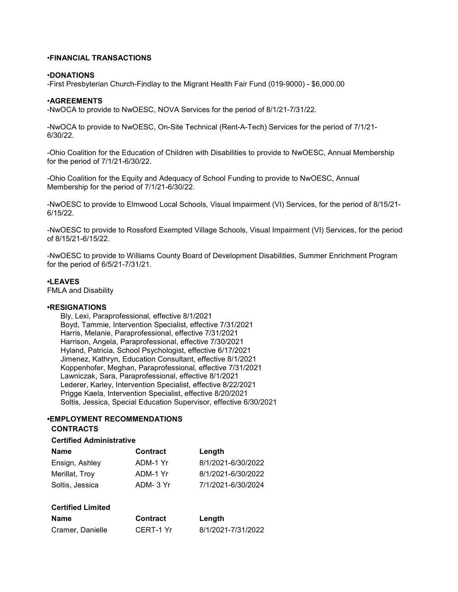## •FINANCIAL TRANSACTIONS

### •DONATIONS

-First Presbyterian Church-Findlay to the Migrant Health Fair Fund (019-9000) - \$6,000.00

### •AGREEMENTS

-NwOCA to provide to NwOESC, NOVA Services for the period of 8/1/21-7/31/22.

-NwOCA to provide to NwOESC, On-Site Technical (Rent-A-Tech) Services for the period of 7/1/21- 6/30/22.

-Ohio Coalition for the Education of Children with Disabilities to provide to NwOESC, Annual Membership for the period of 7/1/21-6/30/22.

-Ohio Coalition for the Equity and Adequacy of School Funding to provide to NwOESC, Annual Membership for the period of 7/1/21-6/30/22.

-NwOESC to provide to Elmwood Local Schools, Visual Impairment (VI) Services, for the period of 8/15/21- 6/15/22.

-NwOESC to provide to Rossford Exempted Village Schools, Visual Impairment (VI) Services, for the period of 8/15/21-6/15/22.

-NwOESC to provide to Williams County Board of Development Disabilities, Summer Enrichment Program for the period of 6/5/21-7/31/21.

#### •LEAVES

FMLA and Disability

### •RESIGNATIONS

 Bly, Lexi, Paraprofessional, effective 8/1/2021 Boyd, Tammie, Intervention Specialist, effective 7/31/2021 Harris, Melanie, Paraprofessional, effective 7/31/2021 Harrison, Angela, Paraprofessional, effective 7/30/2021 Hyland, Patricia, School Psychologist, effective 6/17/2021 Jimenez, Kathryn, Education Consultant, effective 8/1/2021 Koppenhofer, Meghan, Paraprofessional, effective 7/31/2021 Lawniczak, Sara, Paraprofessional, effective 8/1/2021 Lederer, Karley, Intervention Specialist, effective 8/22/2021 Prigge Kaela, Intervention Specialist, effective 8/20/2021 Soltis, Jessica, Special Education Supervisor, effective 6/30/2021

# •EMPLOYMENT RECOMMENDATIONS

# CONTRACTS

## Certified Administrative

| Name            | <b>Contract</b> | Length             |
|-----------------|-----------------|--------------------|
| Ensign, Ashley  | ADM-1 Yr        | 8/1/2021-6/30/2022 |
| Merillat, Troy  | ADM-1 Yr        | 8/1/2021-6/30/2022 |
| Soltis, Jessica | ADM-3 Yr        | 7/1/2021-6/30/2024 |

## Certified Limited

| Name             | <b>Contract</b> | Length             |
|------------------|-----------------|--------------------|
| Cramer, Danielle | CERT-1 Yr       | 8/1/2021-7/31/2022 |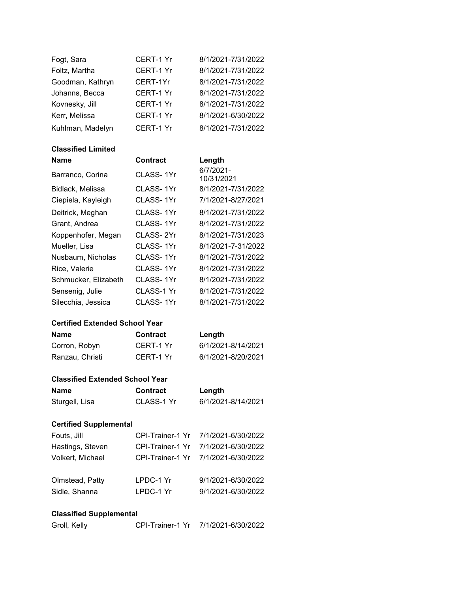| Fogt, Sara       | <b>CERT-1 Yr</b> | 8/1/2021-7/31/2022 |
|------------------|------------------|--------------------|
| Foltz, Martha    | CERT-1 Yr        | 8/1/2021-7/31/2022 |
| Goodman, Kathryn | CERT-1Yr         | 8/1/2021-7/31/2022 |
| Johanns, Becca   | CERT-1 Yr        | 8/1/2021-7/31/2022 |
| Kovnesky, Jill   | CERT-1 Yr        | 8/1/2021-7/31/2022 |
| Kerr, Melissa    | CERT-1 Yr        | 8/1/2021-6/30/2022 |
| Kuhlman, Madelyn | CERT-1 Yr        | 8/1/2021-7/31/2022 |

# Classified Limited

| <b>Name</b>          | <b>Contract</b> | Length                  |
|----------------------|-----------------|-------------------------|
| Barranco, Corina     | CLASS-1Yr       | 6/7/2021-<br>10/31/2021 |
| Bidlack, Melissa     | CLASS-1Yr       | 8/1/2021-7/31/2022      |
| Ciepiela, Kayleigh   | CLASS-1Yr       | 7/1/2021-8/27/2021      |
| Deitrick, Meghan     | CLASS-1Yr       | 8/1/2021-7/31/2022      |
| Grant, Andrea        | CLASS-1Yr       | 8/1/2021-7/31/2022      |
| Koppenhofer, Megan   | CLASS-2Yr       | 8/1/2021-7/31/2023      |
| Mueller, Lisa        | CLASS- 1Yr      | 8/1/2021-7-31/2022      |
| Nusbaum, Nicholas    | CLASS-1Yr       | 8/1/2021-7/31/2022      |
| Rice, Valerie        | CLASS- 1Yr      | 8/1/2021-7/31/2022      |
| Schmucker, Elizabeth | CLASS-1Yr       | 8/1/2021-7/31/2022      |
| Sensenig, Julie      | CLASS-1 Yr      | 8/1/2021-7/31/2022      |
| Silecchia, Jessica   | CLASS- 1Yr      | 8/1/2021-7/31/2022      |

# Certified Extended School Year

| Name            | <b>Contract</b> | Length             |
|-----------------|-----------------|--------------------|
| Corron, Robyn   | CERT-1 Yr       | 6/1/2021-8/14/2021 |
| Ranzau, Christi | CERT-1 Yr       | 6/1/2021-8/20/2021 |

# Classified Extended School Year

| Name           | <b>Contract</b> | Length             |
|----------------|-----------------|--------------------|
| Sturgell, Lisa | CLASS-1 Yr      | 6/1/2021-8/14/2021 |

# Certified Supplemental

| Fouts, Jill      |           | CPI-Trainer-1 Yr 7/1/2021-6/30/2022 |
|------------------|-----------|-------------------------------------|
| Hastings, Steven |           | CPI-Trainer-1 Yr 7/1/2021-6/30/2022 |
| Volkert, Michael |           | CPI-Trainer-1 Yr 7/1/2021-6/30/2022 |
| Olmstead, Patty  | LPDC-1 Yr | 9/1/2021-6/30/2022                  |
| Sidle, Shanna    | LPDC-1 Yr | 9/1/2021-6/30/2022                  |

# Classified Supplemental

| Groll, Kelly | CPI-Trainer-1 Yr 7/1/2021-6/30/2022 |
|--------------|-------------------------------------|
|              |                                     |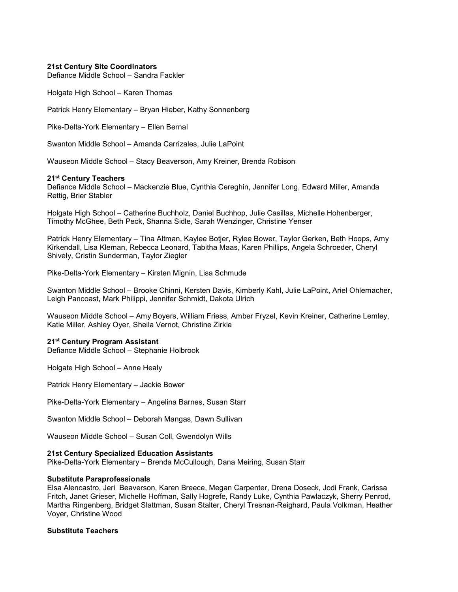### 21st Century Site Coordinators

Defiance Middle School – Sandra Fackler

Holgate High School – Karen Thomas

Patrick Henry Elementary – Bryan Hieber, Kathy Sonnenberg

Pike-Delta-York Elementary – Ellen Bernal

Swanton Middle School – Amanda Carrizales, Julie LaPoint

Wauseon Middle School – Stacy Beaverson, Amy Kreiner, Brenda Robison

### 21<sup>st</sup> Century Teachers

Defiance Middle School – Mackenzie Blue, Cynthia Cereghin, Jennifer Long, Edward Miller, Amanda Rettig, Brier Stabler

Holgate High School – Catherine Buchholz, Daniel Buchhop, Julie Casillas, Michelle Hohenberger, Timothy McGhee, Beth Peck, Shanna Sidle, Sarah Wenzinger, Christine Yenser

Patrick Henry Elementary – Tina Altman, Kaylee Botjer, Rylee Bower, Taylor Gerken, Beth Hoops, Amy Kirkendall, Lisa Kleman, Rebecca Leonard, Tabitha Maas, Karen Phillips, Angela Schroeder, Cheryl Shively, Cristin Sunderman, Taylor Ziegler

Pike-Delta-York Elementary – Kirsten Mignin, Lisa Schmude

Swanton Middle School – Brooke Chinni, Kersten Davis, Kimberly Kahl, Julie LaPoint, Ariel Ohlemacher, Leigh Pancoast, Mark Philippi, Jennifer Schmidt, Dakota Ulrich

Wauseon Middle School – Amy Boyers, William Friess, Amber Fryzel, Kevin Kreiner, Catherine Lemley, Katie Miller, Ashley Oyer, Sheila Vernot, Christine Zirkle

## 21<sup>st</sup> Century Program Assistant

Defiance Middle School – Stephanie Holbrook

Holgate High School – Anne Healy

Patrick Henry Elementary – Jackie Bower

Pike-Delta-York Elementary – Angelina Barnes, Susan Starr

Swanton Middle School – Deborah Mangas, Dawn Sullivan

Wauseon Middle School – Susan Coll, Gwendolyn Wills

### 21st Century Specialized Education Assistants

Pike-Delta-York Elementary – Brenda McCullough, Dana Meiring, Susan Starr

## Substitute Paraprofessionals

Elsa Alencastro, Jeri Beaverson, Karen Breece, Megan Carpenter, Drena Doseck, Jodi Frank, Carissa Fritch, Janet Grieser, Michelle Hoffman, Sally Hogrefe, Randy Luke, Cynthia Pawlaczyk, Sherry Penrod, Martha Ringenberg, Bridget Slattman, Susan Stalter, Cheryl Tresnan-Reighard, Paula Volkman, Heather Voyer, Christine Wood

## Substitute Teachers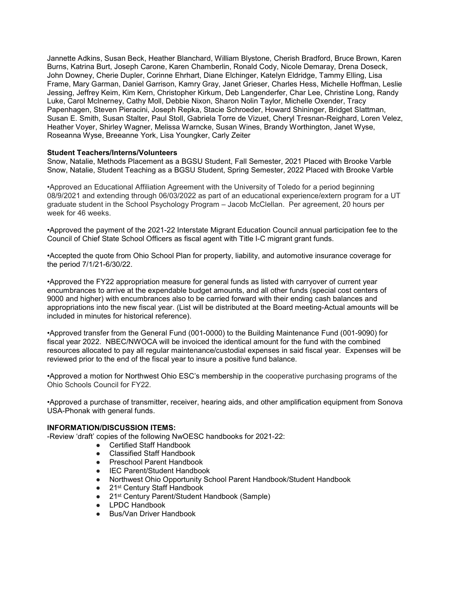Jannette Adkins, Susan Beck, Heather Blanchard, William Blystone, Cherish Bradford, Bruce Brown, Karen Burns, Katrina Burt, Joseph Carone, Karen Chamberlin, Ronald Cody, Nicole Demaray, Drena Doseck, John Downey, Cherie Dupler, Corinne Ehrhart, Diane Elchinger, Katelyn Eldridge, Tammy Elling, Lisa Frame, Mary Garman, Daniel Garrison, Kamry Gray, Janet Grieser, Charles Hess, Michelle Hoffman, Leslie Jessing, Jeffrey Keim, Kim Kern, Christopher Kirkum, Deb Langenderfer, Char Lee, Christine Long, Randy Luke, Carol McInerney, Cathy Moll, Debbie Nixon, Sharon Nolin Taylor, Michelle Oxender, Tracy Papenhagen, Steven Pieracini, Joseph Repka, Stacie Schroeder, Howard Shininger, Bridget Slattman, Susan E. Smith, Susan Stalter, Paul Stoll, Gabriela Torre de Vizuet, Cheryl Tresnan-Reighard, Loren Velez, Heather Voyer, Shirley Wagner, Melissa Warncke, Susan Wines, Brandy Worthington, Janet Wyse, Roseanna Wyse, Breeanne York, Lisa Youngker, Carly Zeiter

## Student Teachers/Interns/Volunteers

Snow, Natalie, Methods Placement as a BGSU Student, Fall Semester, 2021 Placed with Brooke Varble Snow, Natalie, Student Teaching as a BGSU Student, Spring Semester, 2022 Placed with Brooke Varble

•Approved an Educational Affiliation Agreement with the University of Toledo for a period beginning 08/9/2021 and extending through 06/03/2022 as part of an educational experience/extern program for a UT graduate student in the School Psychology Program – Jacob McClellan. Per agreement, 20 hours per week for 46 weeks.

•Approved the payment of the 2021-22 Interstate Migrant Education Council annual participation fee to the Council of Chief State School Officers as fiscal agent with Title I-C migrant grant funds.

•Accepted the quote from Ohio School Plan for property, liability, and automotive insurance coverage for the period 7/1/21-6/30/22.

•Approved the FY22 appropriation measure for general funds as listed with carryover of current year encumbrances to arrive at the expendable budget amounts, and all other funds (special cost centers of 9000 and higher) with encumbrances also to be carried forward with their ending cash balances and appropriations into the new fiscal year. (List will be distributed at the Board meeting-Actual amounts will be included in minutes for historical reference).

•Approved transfer from the General Fund (001-0000) to the Building Maintenance Fund (001-9090) for fiscal year 2022. NBEC/NWOCA will be invoiced the identical amount for the fund with the combined resources allocated to pay all regular maintenance/custodial expenses in said fiscal year. Expenses will be reviewed prior to the end of the fiscal year to insure a positive fund balance.

•Approved a motion for Northwest Ohio ESC's membership in the cooperative purchasing programs of the Ohio Schools Council for FY22.

•Approved a purchase of transmitter, receiver, hearing aids, and other amplification equipment from Sonova USA-Phonak with general funds.

## INFORMATION/DISCUSSION ITEMS:

-Review 'draft' copies of the following NwOESC handbooks for 2021-22:

- Certified Staff Handbook
- **Classified Staff Handbook**
- Preschool Parent Handbook
- IEC Parent/Student Handbook
- Northwest Ohio Opportunity School Parent Handbook/Student Handbook
- 21st Century Staff Handbook
- 21<sup>st</sup> Century Parent/Student Handbook (Sample)
- **LPDC Handbook**
- Bus/Van Driver Handbook